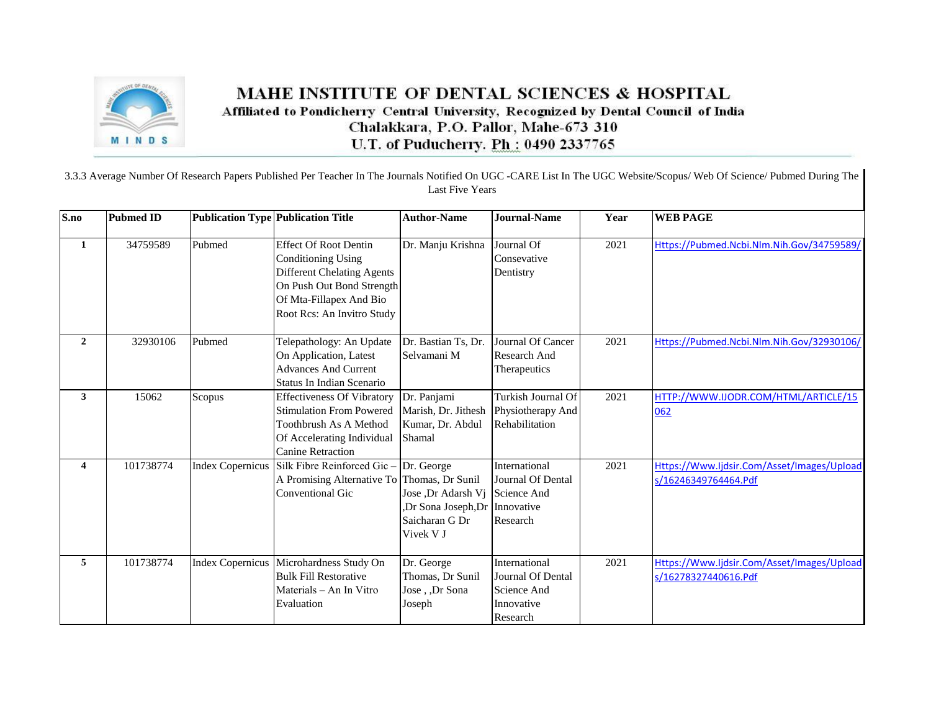

## MAHE INSTITUTE OF DENTAL SCIENCES & HOSPITAL Affiliated to Pondicherry Central University, Recognized by Dental Council of India Chalakkara, P.O. Pallor, Mahe-673 310 U.T. of Puducherry. Ph: 0490 2337765

## 3.3.3 Average Number Of Research Papers Published Per Teacher In The Journals Notified On UGC -CARE List In The UGC Website/Scopus/ Web Of Science/ Pubmed During The Last Five Years

| S.no                    | <b>Pubmed ID</b> |                         | <b>Publication Type Publication Title</b>                                                                                                                                            | <b>Author-Name</b>                                                                    | <b>Journal-Name</b>                                                                | Year | <b>WEB PAGE</b>                                                    |
|-------------------------|------------------|-------------------------|--------------------------------------------------------------------------------------------------------------------------------------------------------------------------------------|---------------------------------------------------------------------------------------|------------------------------------------------------------------------------------|------|--------------------------------------------------------------------|
| 1                       | 34759589         | Pubmed                  | <b>Effect Of Root Dentin</b><br><b>Conditioning Using</b><br><b>Different Chelating Agents</b><br>On Push Out Bond Strength<br>Of Mta-Fillapex And Bio<br>Root Rcs: An Invitro Study | Dr. Manju Krishna                                                                     | Journal Of<br>Consevative<br>Dentistry                                             | 2021 | Https://Pubmed.Ncbi.Nlm.Nih.Gov/34759589/                          |
| $\overline{2}$          | 32930106         | Pubmed                  | Telepathology: An Update<br>On Application, Latest<br><b>Advances And Current</b><br>Status In Indian Scenario                                                                       | Dr. Bastian Ts, Dr.<br>Selvamani M                                                    | Journal Of Cancer<br>Research And<br>Therapeutics                                  | 2021 | Https://Pubmed.Ncbi.Nlm.Nih.Gov/32930106/                          |
| $\mathbf{3}$            | 15062            | Scopus                  | <b>Effectiveness Of Vibratory</b><br><b>Stimulation From Powered</b><br>Toothbrush As A Method<br>Of Accelerating Individual<br><b>Canine Retraction</b>                             | Dr. Panjami<br>Marish, Dr. Jithesh<br>Kumar, Dr. Abdul<br>Shamal                      | Turkish Journal Of<br>Physiotherapy And<br>Rehabilitation                          | 2021 | HTTP://WWW.IJODR.COM/HTML/ARTICLE/15<br>062                        |
| $\overline{\mathbf{4}}$ | 101738774        | <b>Index Copernicus</b> | Silk Fibre Reinforced Gic-<br>A Promising Alternative To Thomas, Dr Sunil<br><b>Conventional Gic</b>                                                                                 | Dr. George<br>Jose ,Dr Adarsh Vj<br>,Dr Sona Joseph,Dr<br>Saicharan G Dr<br>Vivek V J | International<br><b>Journal Of Dental</b><br>Science And<br>Innovative<br>Research | 2021 | Https://Www.Ijdsir.Com/Asset/Images/Upload<br>s/16246349764464.Pdf |
| 5                       | 101738774        |                         | Index Copernicus Microhardness Study On<br><b>Bulk Fill Restorative</b><br>Materials – An In Vitro<br>Evaluation                                                                     | Dr. George<br>Thomas, Dr Sunil<br>Jose, Dr Sona<br>Joseph                             | International<br><b>Journal Of Dental</b><br>Science And<br>Innovative<br>Research | 2021 | Https://Www.Ijdsir.Com/Asset/Images/Upload<br>s/16278327440616.Pdf |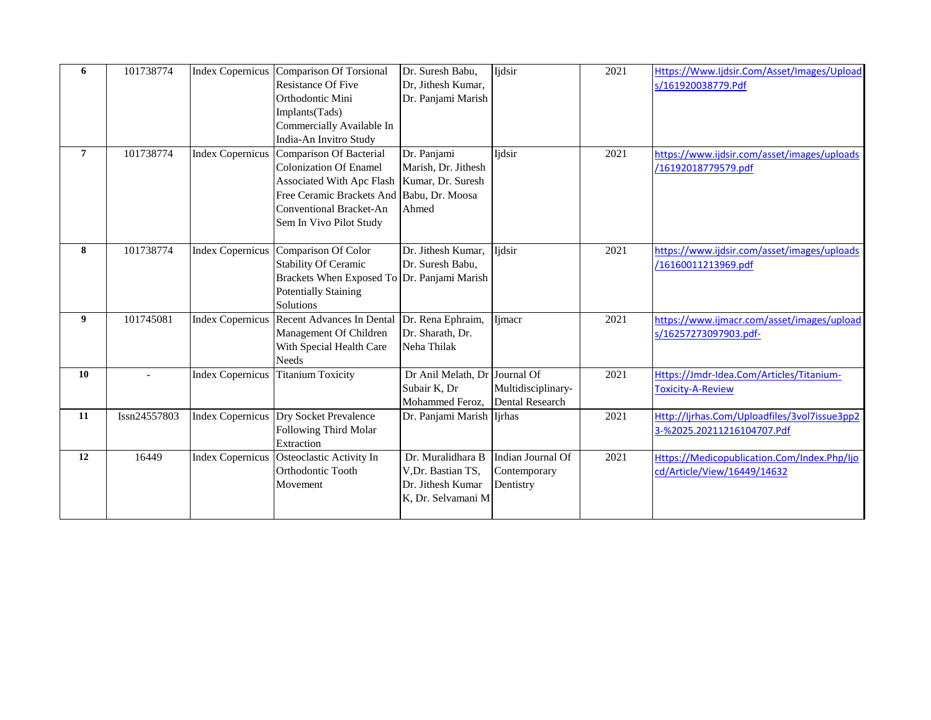| 6              | 101738774    |                         | Index Copernicus Comparison Of Torsional<br><b>Resistance Of Five</b><br>Orthodontic Mini<br>Implants(Tads)<br>Commercially Available In                                                                                            | Dr. Suresh Babu,<br>Dr, Jithesh Kumar,<br>Dr. Panjami Marish                      | Ijdsir                                         | 2021 | Https://Www.Ijdsir.Com/Asset/Images/Upload<br>s/161920038779.Pdf           |
|----------------|--------------|-------------------------|-------------------------------------------------------------------------------------------------------------------------------------------------------------------------------------------------------------------------------------|-----------------------------------------------------------------------------------|------------------------------------------------|------|----------------------------------------------------------------------------|
| $\overline{7}$ | 101738774    |                         | India-An Invitro Study<br>Index Copernicus Comparison Of Bacterial<br><b>Colonization Of Enamel</b><br>Associated With Apc Flash<br>Free Ceramic Brackets And Babu, Dr. Moosa<br>Conventional Bracket-An<br>Sem In Vivo Pilot Study | Dr. Panjami<br>Marish, Dr. Jithesh<br>Kumar, Dr. Suresh<br>Ahmed                  | Ijdsir                                         | 2021 | https://www.ijdsir.com/asset/images/uploads<br>/16192018779579.pdf         |
| 8              | 101738774    |                         | Index Copernicus Comparison Of Color<br><b>Stability Of Ceramic</b><br>Brackets When Exposed To Dr. Panjami Marish<br><b>Potentially Staining</b><br>Solutions                                                                      | Dr. Jithesh Kumar,<br>Dr. Suresh Babu,                                            | <b>Ijdsir</b>                                  | 2021 | https://www.ijdsir.com/asset/images/uploads<br>/16160011213969.pdf         |
| 9              | 101745081    |                         | Index Copernicus Recent Advances In Dental<br>Management Of Children<br>With Special Health Care<br><b>Needs</b>                                                                                                                    | Dr. Rena Ephraim,<br>Dr. Sharath, Dr.<br>Neha Thilak                              | Ijmacr                                         | 2021 | https://www.ijmacr.com/asset/images/upload<br>s/16257273097903.pdf-        |
| 10             |              | <b>Index Copernicus</b> | <b>Titanium Toxicity</b>                                                                                                                                                                                                            | Dr Anil Melath, Dr Journal Of<br>Subair K, Dr<br>Mohammed Feroz,                  | Multidisciplinary-<br><b>Dental Research</b>   | 2021 | Https://Jmdr-Idea.Com/Articles/Titanium-<br><b>Toxicity-A-Review</b>       |
| 11             | Issn24557803 |                         | Index Copernicus Dry Socket Prevalence<br>Following Third Molar<br>Extraction                                                                                                                                                       | Dr. Panjami Marish Ijrhas                                                         |                                                | 2021 | Http://ljrhas.Com/Uploadfiles/3vol7issue3pp2<br>3-%2025.20211216104707.Pdf |
| 12             | 16449        |                         | Index Copernicus Osteoclastic Activity In<br>Orthodontic Tooth<br>Movement                                                                                                                                                          | Dr. Muralidhara B<br>V,Dr. Bastian TS,<br>Dr. Jithesh Kumar<br>K. Dr. Selvamani M | Indian Journal Of<br>Contemporary<br>Dentistry | 2021 | Https://Medicopublication.Com/Index.Php/Ijo<br>cd/Article/View/16449/14632 |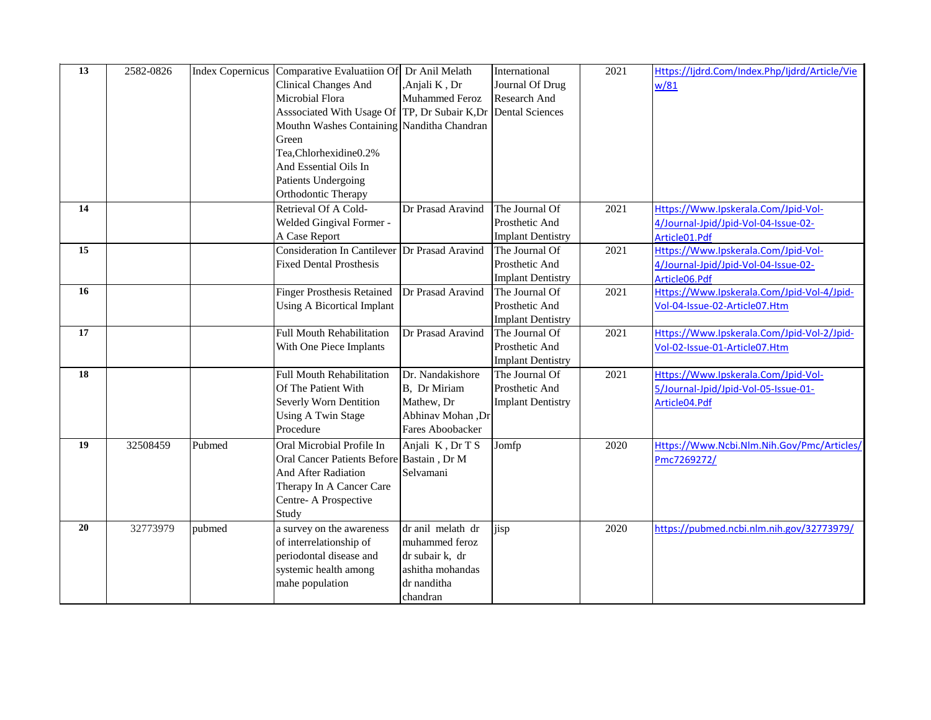| 13 | 2582-0826 |        | Index Copernicus Comparative Evaluatiion Of   | Dr Anil Melath    | International            | 2021 | Https://ljdrd.Com/Index.Php/ljdrd/Article/Vie |
|----|-----------|--------|-----------------------------------------------|-------------------|--------------------------|------|-----------------------------------------------|
|    |           |        | <b>Clinical Changes And</b>                   | Anjali K, Dr      | Journal Of Drug          |      | w/81                                          |
|    |           |        | Microbial Flora                               | Muhammed Feroz    | Research And             |      |                                               |
|    |           |        | Asssociated With Usage Of TP, Dr Subair K, Dr |                   | <b>Dental Sciences</b>   |      |                                               |
|    |           |        | Mouthn Washes Containing Nanditha Chandran    |                   |                          |      |                                               |
|    |           |        | Green                                         |                   |                          |      |                                               |
|    |           |        | Tea,Chlorhexidine0.2%                         |                   |                          |      |                                               |
|    |           |        | And Essential Oils In                         |                   |                          |      |                                               |
|    |           |        | <b>Patients Undergoing</b>                    |                   |                          |      |                                               |
|    |           |        | Orthodontic Therapy                           |                   |                          |      |                                               |
| 14 |           |        | Retrieval Of A Cold-                          | Dr Prasad Aravind | The Journal Of           | 2021 | Https://Www.Ipskerala.Com/Jpid-Vol-           |
|    |           |        | Welded Gingival Former -                      |                   | Prosthetic And           |      | 4/Journal-Jpid/Jpid-Vol-04-Issue-02-          |
|    |           |        | A Case Report                                 |                   | <b>Implant Dentistry</b> |      | Article01.Pdf                                 |
| 15 |           |        | Consideration In Cantilever Dr Prasad Aravind |                   | The Journal Of           | 2021 | Https://Www.Ipskerala.Com/Jpid-Vol-           |
|    |           |        | <b>Fixed Dental Prosthesis</b>                |                   | Prosthetic And           |      | 4/Journal-Jpid/Jpid-Vol-04-Issue-02-          |
|    |           |        |                                               |                   | <b>Implant Dentistry</b> |      | Article06.Pdf                                 |
| 16 |           |        | <b>Finger Prosthesis Retained</b>             | Dr Prasad Aravind | The Journal Of           | 2021 | Https://Www.Ipskerala.Com/Jpid-Vol-4/Jpid-    |
|    |           |        | <b>Using A Bicortical Implant</b>             |                   | Prosthetic And           |      | Vol-04-Issue-02-Article07.Htm                 |
|    |           |        |                                               |                   | <b>Implant Dentistry</b> |      |                                               |
| 17 |           |        | <b>Full Mouth Rehabilitation</b>              | Dr Prasad Aravind | The Journal Of           | 2021 | Https://Www.Ipskerala.Com/Jpid-Vol-2/Jpid-    |
|    |           |        | With One Piece Implants                       |                   | Prosthetic And           |      | Vol-02-Issue-01-Article07.Htm                 |
|    |           |        |                                               |                   | <b>Implant Dentistry</b> |      |                                               |
| 18 |           |        | <b>Full Mouth Rehabilitation</b>              | Dr. Nandakishore  | The Journal Of           | 2021 | Https://Www.Ipskerala.Com/Jpid-Vol-           |
|    |           |        | Of The Patient With                           | B, Dr Miriam      | Prosthetic And           |      | 5/Journal-Jpid/Jpid-Vol-05-Issue-01-          |
|    |           |        | Severly Worn Dentition                        | Mathew, Dr        | <b>Implant Dentistry</b> |      | Article04.Pdf                                 |
|    |           |        | <b>Using A Twin Stage</b>                     | Abhinav Mohan, Dr |                          |      |                                               |
|    |           |        | Procedure                                     | Fares Aboobacker  |                          |      |                                               |
| 19 | 32508459  | Pubmed | Oral Microbial Profile In                     | Anjali K, Dr T S  | Jomfp                    | 2020 | Https://Www.Ncbi.Nlm.Nih.Gov/Pmc/Articles/    |
|    |           |        | Oral Cancer Patients Before Bastain, Dr M     |                   |                          |      | Pmc7269272/                                   |
|    |           |        | And After Radiation                           | Selvamani         |                          |      |                                               |
|    |           |        | Therapy In A Cancer Care                      |                   |                          |      |                                               |
|    |           |        | Centre-A Prospective                          |                   |                          |      |                                               |
|    |           |        | Study                                         |                   |                          |      |                                               |
| 20 | 32773979  | pubmed | a survey on the awareness                     | dr anil melath dr | jisp                     | 2020 | https://pubmed.ncbi.nlm.nih.gov/32773979/     |
|    |           |        | of interrelationship of                       | muhammed feroz    |                          |      |                                               |
|    |           |        | periodontal disease and                       | dr subair k, dr   |                          |      |                                               |
|    |           |        | systemic health among                         | ashitha mohandas  |                          |      |                                               |
|    |           |        | mahe population                               | dr nanditha       |                          |      |                                               |
|    |           |        |                                               | chandran          |                          |      |                                               |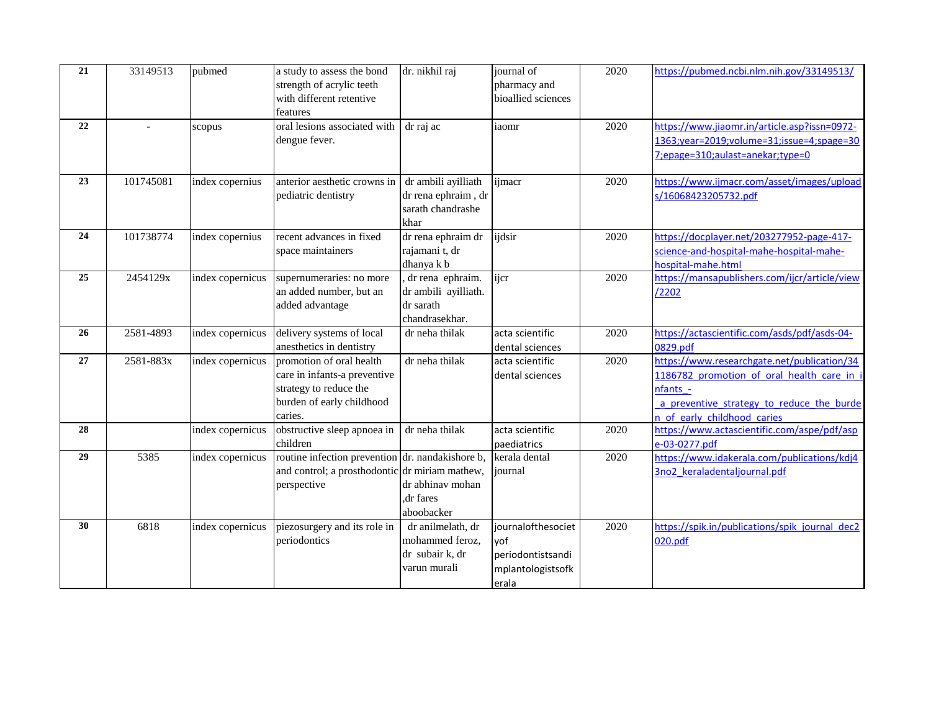| 21 | 33149513  | pubmed           | a study to assess the bond<br>strength of acrylic teeth<br>with different retentive<br>features                            | dr. nikhil raj                                                            | journal of<br>pharmacy and<br>bioallied sciences                             | 2020 | https://pubmed.ncbi.nlm.nih.gov/33149513/                                                                                                                                       |
|----|-----------|------------------|----------------------------------------------------------------------------------------------------------------------------|---------------------------------------------------------------------------|------------------------------------------------------------------------------|------|---------------------------------------------------------------------------------------------------------------------------------------------------------------------------------|
| 22 |           | scopus           | oral lesions associated with<br>dengue fever.                                                                              | dr raj ac                                                                 | iaomr                                                                        | 2020 | https://www.jiaomr.in/article.asp?issn=0972-<br>1363;year=2019;volume=31;issue=4;spage=30<br>7; epage=310; aulast=anekar; type=0                                                |
| 23 | 101745081 | index copernius  | anterior aesthetic crowns in<br>pediatric dentistry                                                                        | dr ambili ayilliath<br>dr rena ephraim, dr<br>sarath chandrashe<br>khar   | ijmacr                                                                       | 2020 | https://www.ijmacr.com/asset/images/upload<br>s/16068423205732.pdf                                                                                                              |
| 24 | 101738774 | index copernius  | recent advances in fixed<br>space maintainers                                                                              | dr rena ephraim dr<br>rajamani t, dr<br>dhanya k b                        | ijdsir                                                                       | 2020 | https://docplayer.net/203277952-page-417-<br>science-and-hospital-mahe-hospital-mahe-<br>hospital-mahe.html                                                                     |
| 25 | 2454129x  | index copernicus | supernumeraries: no more<br>an added number, but an<br>added advantage                                                     | , dr rena ephraim.<br>dr ambili ayilliath.<br>dr sarath<br>chandrasekhar. | ijcr                                                                         | 2020 | https://mansapublishers.com/ijcr/article/view<br>/2202                                                                                                                          |
| 26 | 2581-4893 | index copernicus | delivery systems of local<br>anesthetics in dentistry                                                                      | dr neha thilak                                                            | acta scientific<br>dental sciences                                           | 2020 | https://actascientific.com/asds/pdf/asds-04-<br>0829.pdf                                                                                                                        |
| 27 | 2581-883x | index copernicus | promotion of oral health<br>care in infants-a preventive<br>strategy to reduce the<br>burden of early childhood<br>caries. | dr neha thilak                                                            | acta scientific<br>dental sciences                                           | 2020 | https://www.researchgate.net/publication/34<br>1186782 promotion of oral health care in<br>nfants -<br>a preventive strategy to reduce the burde<br>n of early childhood caries |
| 28 |           | index copernicus | obstructive sleep apnoea in<br>children                                                                                    | dr neha thilak                                                            | acta scientific<br>paediatrics                                               | 2020 | https://www.actascientific.com/aspe/pdf/asp<br>e-03-0277.pdf                                                                                                                    |
| 29 | 5385      | index copernicus | routine infection prevention dr. nandakishore b,<br>and control; a prosthodontic dr miriam mathew,<br>perspective          | dr abhinav mohan<br>dr fares<br>aboobacker                                | kerala dental<br>journal                                                     | 2020 | https://www.idakerala.com/publications/kdj4<br>3no2 keraladentaljournal.pdf                                                                                                     |
| 30 | 6818      | index copernicus | piezosurgery and its role in<br>periodontics                                                                               | dr anilmelath, dr<br>mohammed feroz,<br>dr subair k, dr<br>varun murali   | journalofthesociet<br>yof<br>periodontistsandi<br>mplantologistsofk<br>erala | 2020 | https://spik.in/publications/spik journal dec2<br>020.pdf                                                                                                                       |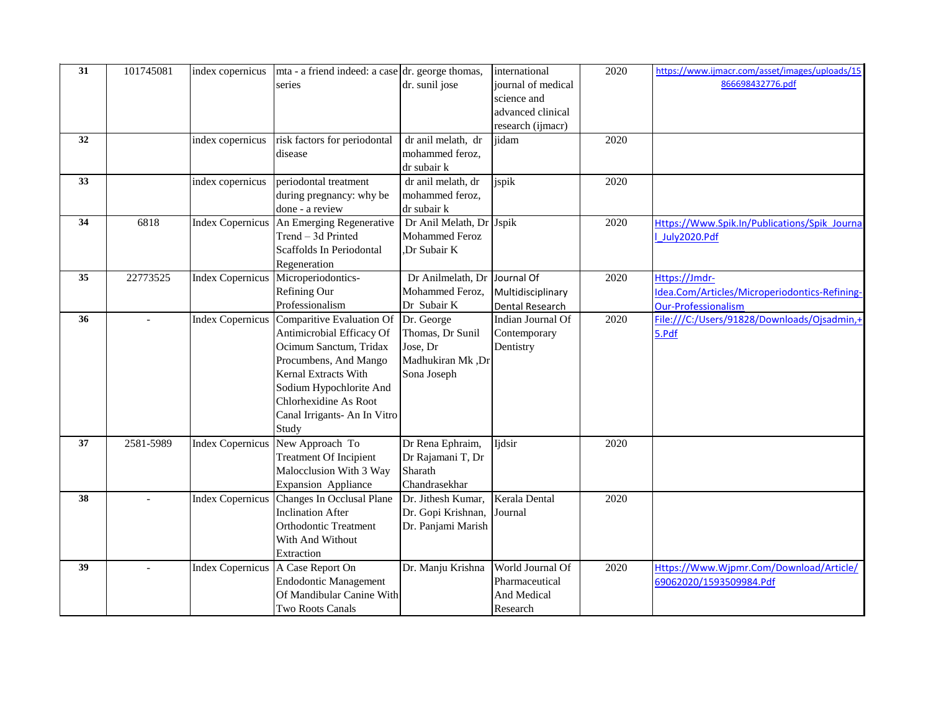| 31 | 101745081 | index copernicus        | mta - a friend indeed: a case dr. george thomas, |                              | international      | 2020 | https://www.ijmacr.com/asset/images/uploads/15 |
|----|-----------|-------------------------|--------------------------------------------------|------------------------------|--------------------|------|------------------------------------------------|
|    |           |                         | series                                           | dr. sunil jose               | journal of medical |      | 866698432776.pdf                               |
|    |           |                         |                                                  |                              | science and        |      |                                                |
|    |           |                         |                                                  |                              | advanced clinical  |      |                                                |
|    |           |                         |                                                  |                              | research (ijmacr)  |      |                                                |
| 32 |           | index copernicus        | risk factors for periodontal                     | dr anil melath, dr           | jidam              | 2020 |                                                |
|    |           |                         | disease                                          | mohammed feroz,              |                    |      |                                                |
|    |           |                         |                                                  | dr subair k                  |                    |      |                                                |
| 33 |           | index copernicus        | periodontal treatment                            | dr anil melath, dr           | jspik              | 2020 |                                                |
|    |           |                         | during pregnancy: why be                         | mohammed feroz,              |                    |      |                                                |
|    |           |                         | done - a review                                  | dr subair k                  |                    |      |                                                |
| 34 | 6818      | <b>Index Copernicus</b> | An Emerging Regenerative                         | Dr Anil Melath, Dr Jspik     |                    | 2020 | Https://Www.Spik.In/Publications/Spik Journa   |
|    |           |                         | Trend - 3d Printed                               | Mohammed Feroz               |                    |      | July2020.Pdf                                   |
|    |           |                         | Scaffolds In Periodontal                         | Dr Subair K                  |                    |      |                                                |
|    |           |                         | Regeneration                                     |                              |                    |      |                                                |
| 35 | 22773525  | <b>Index Copernicus</b> | Microperiodontics-                               | Dr Anilmelath, Dr Journal Of |                    | 2020 | Https://Jmdr-                                  |
|    |           |                         | Refining Our                                     | Mohammed Feroz,              | Multidisciplinary  |      | Idea.Com/Articles/Microperiodontics-Refining-  |
|    |           |                         | Professionalism                                  | Dr Subair K                  | Dental Research    |      | <b>Our-Professionalism</b>                     |
| 36 |           | <b>Index Copernicus</b> | Comparitive Evaluation Of                        | Dr. George                   | Indian Journal Of  | 2020 | File:///C:/Users/91828/Downloads/Ojsadmin,+    |
|    |           |                         | Antimicrobial Efficacy Of                        | Thomas, Dr Sunil             | Contemporary       |      | 5.Pdf                                          |
|    |           |                         | Ocimum Sanctum, Tridax                           | Jose, Dr                     | Dentistry          |      |                                                |
|    |           |                         | Procumbens, And Mango                            | Madhukiran Mk ,Dr            |                    |      |                                                |
|    |           |                         | Kernal Extracts With                             | Sona Joseph                  |                    |      |                                                |
|    |           |                         | Sodium Hypochlorite And                          |                              |                    |      |                                                |
|    |           |                         | Chlorhexidine As Root                            |                              |                    |      |                                                |
|    |           |                         | Canal Irrigants- An In Vitro                     |                              |                    |      |                                                |
|    |           |                         | Study                                            |                              |                    |      |                                                |
| 37 | 2581-5989 | <b>Index Copernicus</b> | New Approach To                                  | Dr Rena Ephraim,             | Ijdsir             | 2020 |                                                |
|    |           |                         | <b>Treatment Of Incipient</b>                    | Dr Rajamani T, Dr            |                    |      |                                                |
|    |           |                         | Malocclusion With 3 Way                          | Sharath                      |                    |      |                                                |
|    |           |                         | <b>Expansion Appliance</b>                       | Chandrasekhar                |                    |      |                                                |
| 38 |           | <b>Index Copernicus</b> | Changes In Occlusal Plane                        | Dr. Jithesh Kumar,           | Kerala Dental      | 2020 |                                                |
|    |           |                         | <b>Inclination After</b>                         | Dr. Gopi Krishnan,           | Journal            |      |                                                |
|    |           |                         | <b>Orthodontic Treatment</b>                     | Dr. Panjami Marish           |                    |      |                                                |
|    |           |                         | With And Without                                 |                              |                    |      |                                                |
|    |           |                         | Extraction                                       |                              |                    |      |                                                |
| 39 |           | <b>Index Copernicus</b> | A Case Report On                                 | Dr. Manju Krishna            | World Journal Of   | 2020 | Https://Www.Wjpmr.Com/Download/Article/        |
|    |           |                         | <b>Endodontic Management</b>                     |                              | Pharmaceutical     |      | 69062020/1593509984.Pdf                        |
|    |           |                         | Of Mandibular Canine With                        |                              | And Medical        |      |                                                |
|    |           |                         | Two Roots Canals                                 |                              | Research           |      |                                                |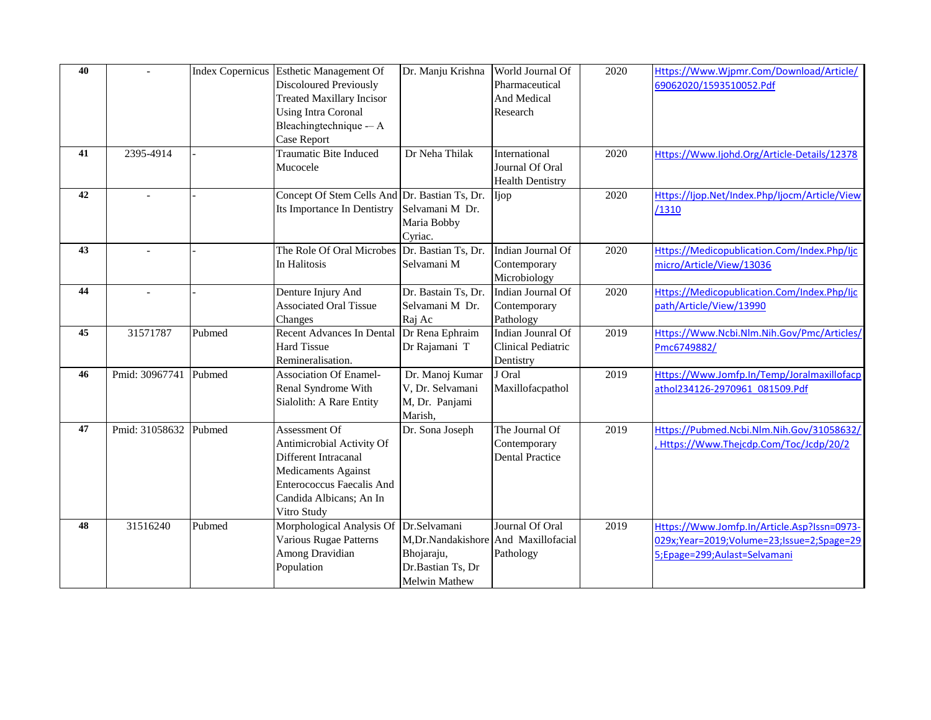| 40 |                          |        | Index Copernicus Esthetic Management Of       | Dr. Manju Krishna    | World Journal Of          | 2020 | Https://Www.Wjpmr.Com/Download/Article/       |
|----|--------------------------|--------|-----------------------------------------------|----------------------|---------------------------|------|-----------------------------------------------|
|    |                          |        | <b>Discoloured Previously</b>                 |                      | Pharmaceutical            |      | 69062020/1593510052.Pdf                       |
|    |                          |        | <b>Treated Maxillary Incisor</b>              |                      | And Medical               |      |                                               |
|    |                          |        | <b>Using Intra Coronal</b>                    |                      | Research                  |      |                                               |
|    |                          |        | Bleachingtechnique -- A                       |                      |                           |      |                                               |
|    |                          |        | Case Report                                   |                      |                           |      |                                               |
| 41 | 2395-4914                |        | Traumatic Bite Induced                        | Dr Neha Thilak       | International             | 2020 | Https://Www.ljohd.Org/Article-Details/12378   |
|    |                          |        | Mucocele                                      |                      | Journal Of Oral           |      |                                               |
|    |                          |        |                                               |                      | <b>Health Dentistry</b>   |      |                                               |
| 42 | $\overline{a}$           |        | Concept Of Stem Cells And Dr. Bastian Ts, Dr. |                      | Ijop                      | 2020 | Https://ljop.Net/Index.Php/ljocm/Article/View |
|    |                          |        | Its Importance In Dentistry                   | Selvamani M Dr.      |                           |      | /1310                                         |
|    |                          |        |                                               | Maria Bobby          |                           |      |                                               |
|    |                          |        |                                               | Cyriac.              |                           |      |                                               |
| 43 | $\overline{a}$           |        | The Role Of Oral Microbes Dr. Bastian Ts, Dr. |                      | Indian Journal Of         | 2020 | Https://Medicopublication.Com/Index.Php/lic   |
|    |                          |        | In Halitosis                                  | Selvamani M          | Contemporary              |      | micro/Article/View/13036                      |
|    |                          |        |                                               |                      | Microbiology              |      |                                               |
| 44 | $\overline{\phantom{a}}$ |        | Denture Injury And                            | Dr. Bastain Ts, Dr.  | Indian Journal Of         | 2020 | Https://Medicopublication.Com/Index.Php/Ijc   |
|    |                          |        | <b>Associated Oral Tissue</b>                 | Selvamani M Dr.      | Contemporary              |      | path/Article/View/13990                       |
|    |                          |        | Changes                                       | Raj Ac               | Pathology                 |      |                                               |
| 45 | 31571787                 | Pubmed | <b>Recent Advances In Dental</b>              | Dr Rena Ephraim      | <b>Indian Jounral Of</b>  | 2019 | Https://Www.Ncbi.Nlm.Nih.Gov/Pmc/Articles/    |
|    |                          |        | <b>Hard Tissue</b>                            | Dr Rajamani T        | <b>Clinical Pediatric</b> |      | Pmc6749882/                                   |
|    |                          |        | Remineralisation.                             |                      | Dentistry                 |      |                                               |
| 46 | Pmid: 30967741           | Pubmed | <b>Association Of Enamel-</b>                 | Dr. Manoj Kumar      | J Oral                    | 2019 | Https://Www.Jomfp.In/Temp/Joralmaxillofacp    |
|    |                          |        | Renal Syndrome With                           | V, Dr. Selvamani     | Maxillofacpathol          |      | athol234126-2970961 081509.Pdf                |
|    |                          |        | Sialolith: A Rare Entity                      | M, Dr. Panjami       |                           |      |                                               |
|    |                          |        |                                               | Marish,              |                           |      |                                               |
| 47 | Pmid: 31058632 Pubmed    |        | Assessment Of                                 | Dr. Sona Joseph      | The Journal Of            | 2019 | Https://Pubmed.Ncbi.Nlm.Nih.Gov/31058632/     |
|    |                          |        | Antimicrobial Activity Of                     |                      | Contemporary              |      | Https://Www.Thejcdp.Com/Toc/Jcdp/20/2         |
|    |                          |        | Different Intracanal                          |                      | <b>Dental Practice</b>    |      |                                               |
|    |                          |        | <b>Medicaments Against</b>                    |                      |                           |      |                                               |
|    |                          |        | <b>Enterococcus Faecalis And</b>              |                      |                           |      |                                               |
|    |                          |        | Candida Albicans; An In                       |                      |                           |      |                                               |
|    |                          |        | Vitro Study                                   |                      |                           |      |                                               |
| 48 | 31516240                 | Pubmed | Morphological Analysis Of Dr.Selvamani        |                      | Journal Of Oral           | 2019 | Https://Www.Jomfp.In/Article.Asp?Issn=0973-   |
|    |                          |        | Various Rugae Patterns                        | M,Dr.Nandakishore    | And Maxillofacial         |      | 029x;Year=2019;Volume=23;Issue=2;Spage=29     |
|    |                          |        | Among Dravidian                               | Bhojaraju,           | Pathology                 |      | 5; Epage=299; Aulast=Selvamani                |
|    |                          |        | Population                                    | Dr.Bastian Ts, Dr    |                           |      |                                               |
|    |                          |        |                                               | <b>Melwin Mathew</b> |                           |      |                                               |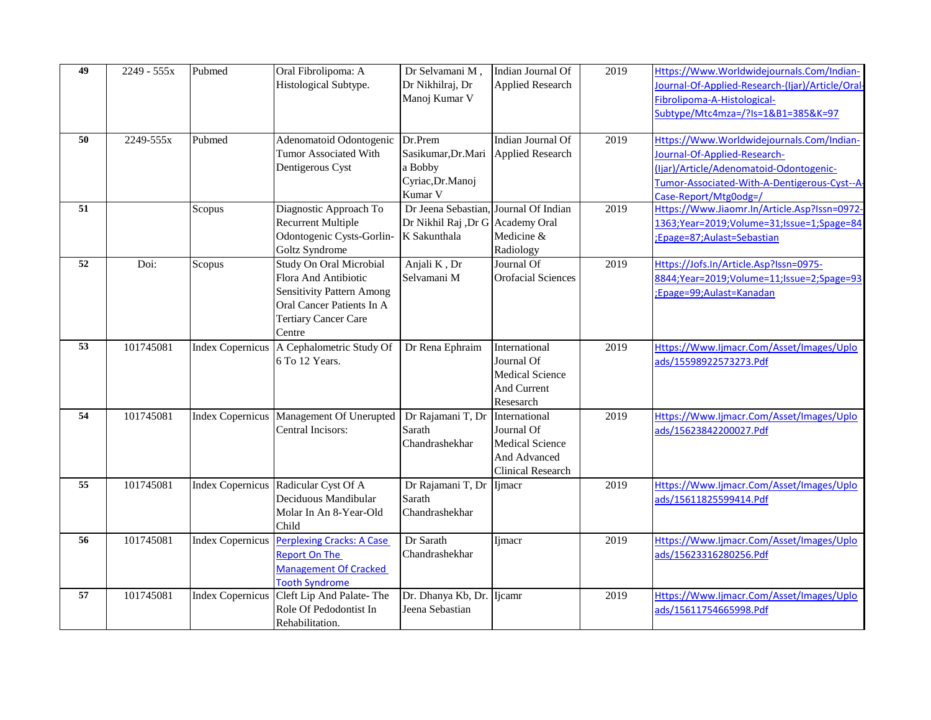| 49 | 2249 - 555x | Pubmed | Oral Fibrolipoma: A<br>Histological Subtype.                                                                                                                     | Dr Selvamani M,<br>Dr Nikhilraj, Dr<br>Manoj Kumar V                      | Indian Journal Of<br><b>Applied Research</b>                                                      | 2019 | Https://Www.Worldwidejournals.Com/Indian-<br>Journal-Of-Applied-Research-(Ijar)/Article/Oral-<br>Fibrolipoma-A-Histological-<br>Subtype/Mtc4mza=/?Is=1&B1=385&K=97                            |
|----|-------------|--------|------------------------------------------------------------------------------------------------------------------------------------------------------------------|---------------------------------------------------------------------------|---------------------------------------------------------------------------------------------------|------|-----------------------------------------------------------------------------------------------------------------------------------------------------------------------------------------------|
| 50 | 2249-555x   | Pubmed | Adenomatoid Odontogenic<br>Tumor Associated With<br>Dentigerous Cyst                                                                                             | Dr.Prem<br>Sasikumar, Dr. Mari<br>a Bobby<br>Cyriac, Dr. Manoj<br>Kumar V | Indian Journal Of<br><b>Applied Research</b>                                                      | 2019 | Https://Www.Worldwidejournals.Com/Indian-<br>Journal-Of-Applied-Research-<br>(Ijar)/Article/Adenomatoid-Odontogenic-<br>Tumor-Associated-With-A-Dentigerous-Cyst--A-<br>Case-Report/Mtg0odg=/ |
| 51 |             | Scopus | Diagnostic Approach To<br><b>Recurrent Multiple</b><br>Odontogenic Cysts-Gorlin-<br>Goltz Syndrome                                                               | Dr Jeena Sebastian,<br>Dr Nikhil Raj ,Dr G Academy Oral<br>K Sakunthala   | Journal Of Indian<br>Medicine &<br>Radiology                                                      | 2019 | Https://Www.Jiaomr.In/Article.Asp?Issn=0972-<br>1363;Year=2019;Volume=31;Issue=1;Spage=84<br>;Epage=87;Aulast=Sebastian                                                                       |
| 52 | Doi:        | Scopus | <b>Study On Oral Microbial</b><br>Flora And Antibiotic<br><b>Sensitivity Pattern Among</b><br>Oral Cancer Patients In A<br><b>Tertiary Cancer Care</b><br>Centre | Anjali K, Dr<br>Selvamani M                                               | Journal Of<br><b>Orofacial Sciences</b>                                                           | 2019 | Https://Jofs.In/Article.Asp?Issn=0975-<br>8844; Year = 2019; Volume = 11; Issue = 2; Spage = 93<br>;Epage=99;Aulast=Kanadan                                                                   |
| 53 | 101745081   |        | Index Copernicus   A Cephalometric Study Of<br>6 To 12 Years.                                                                                                    | Dr Rena Ephraim                                                           | International<br>Journal Of<br><b>Medical Science</b><br>And Current<br>Resesarch                 | 2019 | Https://Www.Ijmacr.Com/Asset/Images/Uplo<br>ads/15598922573273.Pdf                                                                                                                            |
| 54 | 101745081   |        | Index Copernicus Management Of Unerupted<br>Central Incisors:                                                                                                    | Dr Rajamani T, Dr<br>Sarath<br>Chandrashekhar                             | International<br>Journal Of<br><b>Medical Science</b><br>And Advanced<br><b>Clinical Research</b> | 2019 | Https://Www.ljmacr.Com/Asset/Images/Uplo<br>ads/15623842200027.Pdf                                                                                                                            |
| 55 | 101745081   |        | Index Copernicus Radicular Cyst Of A<br>Deciduous Mandibular<br>Molar In An 8-Year-Old<br>Child                                                                  | Dr Rajamani T, Dr<br>Sarath<br>Chandrashekhar                             | Ijmacr                                                                                            | 2019 | Https://Www.Ijmacr.Com/Asset/Images/Uplo<br>ads/15611825599414.Pdf                                                                                                                            |
| 56 | 101745081   |        | Index Copernicus Perplexing Cracks: A Case<br><b>Report On The</b><br><b>Management Of Cracked</b><br><b>Tooth Syndrome</b>                                      | Dr Sarath<br>Chandrashekhar                                               | Ijmacr                                                                                            | 2019 | Https://Www.Ijmacr.Com/Asset/Images/Uplo<br>ads/15623316280256.Pdf                                                                                                                            |
| 57 | 101745081   |        | Index Copernicus Cleft Lip And Palate-The<br>Role Of Pedodontist In<br>Rehabilitation.                                                                           | Dr. Dhanya Kb, Dr. Ijcamr<br>Jeena Sebastian                              |                                                                                                   | 2019 | Https://Www.Ijmacr.Com/Asset/Images/Uplo<br>ads/15611754665998.Pdf                                                                                                                            |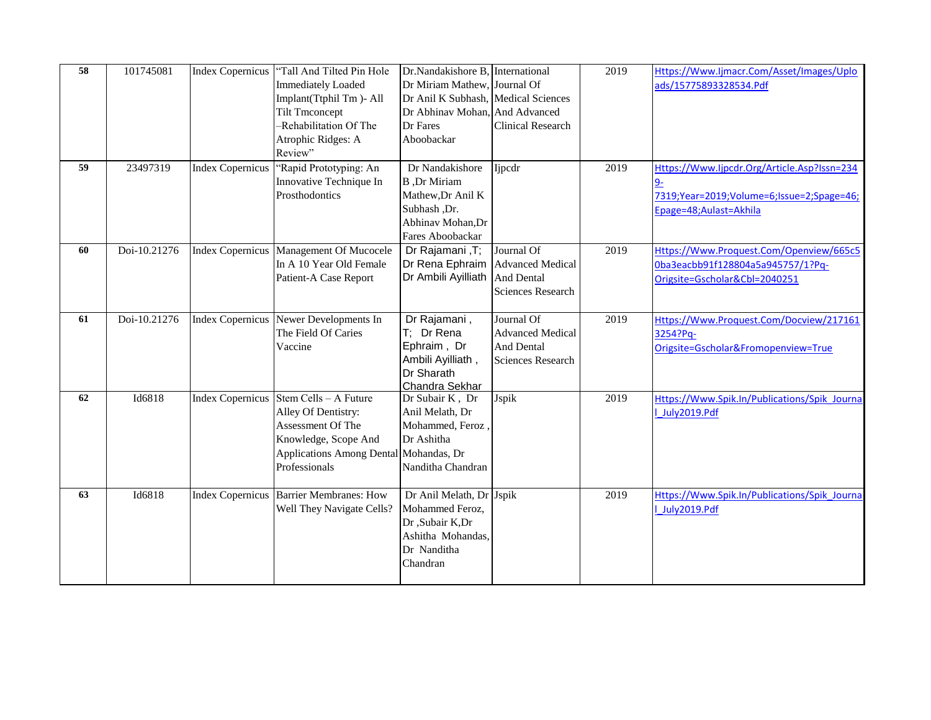| 58 | 101745081    | Index Copernicus        | "Tall And Tilted Pin Hole<br><b>Immediately Loaded</b><br>Implant(Ttphil Tm)-All<br><b>Tilt Tmconcept</b><br>-Rehabilitation Of The<br>Atrophic Ridges: A<br>Review"  | Dr.Nandakishore B, International<br>Dr Miriam Mathew,<br>Dr Anil K Subhash, Medical Sciences<br>Dr Abhinav Mohan, And Advanced<br>Dr Fares<br>Aboobackar | Journal Of<br><b>Clinical Research</b>                                                 | 2019 | Https://Www.Ijmacr.Com/Asset/Images/Uplo<br>ads/15775893328534.Pdf                                                  |
|----|--------------|-------------------------|-----------------------------------------------------------------------------------------------------------------------------------------------------------------------|----------------------------------------------------------------------------------------------------------------------------------------------------------|----------------------------------------------------------------------------------------|------|---------------------------------------------------------------------------------------------------------------------|
| 59 | 23497319     | <b>Index Copernicus</b> | 'Rapid Prototyping: An<br>Innovative Technique In<br>Prosthodontics                                                                                                   | Dr Nandakishore<br><b>B</b> ,Dr Miriam<br>Mathew, Dr Anil K<br>Subhash ,Dr.<br>Abhinav Mohan, Dr<br>Fares Aboobackar                                     | Ijpedr                                                                                 | 2019 | Https://Www.Ijpcdr.Org/Article.Asp?Issn=234<br>7319;Year=2019;Volume=6;Issue=2;Spage=46;<br>Epage=48; Aulast=Akhila |
| 60 | Doi-10.21276 |                         | Index Copernicus   Management Of Mucocele<br>In A 10 Year Old Female<br>Patient-A Case Report                                                                         | Dr Rajamani, T;<br>Dr Rena Ephraim<br>Dr Ambili Ayilliath                                                                                                | Journal Of<br><b>Advanced Medical</b><br><b>And Dental</b><br><b>Sciences Research</b> | 2019 | Https://Www.Proquest.Com/Openview/665c5<br>0ba3eacbb91f128804a5a945757/1?Pq-<br>Origsite=Gscholar&Cbl=2040251       |
| 61 | Doi-10.21276 |                         | Index Copernicus Newer Developments In<br>The Field Of Caries<br>Vaccine                                                                                              | Dr Rajamani,<br>T; Dr Rena<br>Ephraim, Dr<br>Ambili Ayilliath,<br>Dr Sharath<br>Chandra Sekhar                                                           | Journal Of<br><b>Advanced Medical</b><br>And Dental<br><b>Sciences Research</b>        | 2019 | Https://Www.Proquest.Com/Docview/217161<br>3254?Pq-<br>Origsite=Gscholar&Fromopenview=True                          |
| 62 | Id6818       |                         | Index Copernicus Stem Cells - A Future<br>Alley Of Dentistry:<br>Assessment Of The<br>Knowledge, Scope And<br>Applications Among Dental Mohandas, Dr<br>Professionals | Dr Subair K, Dr<br>Anil Melath, Dr<br>Mohammed, Feroz,<br>Dr Ashitha<br>Nanditha Chandran                                                                | Jspik                                                                                  | 2019 | Https://Www.Spik.In/Publications/Spik Journa<br>July2019.Pdf                                                        |
| 63 | Id6818       |                         | Index Copernicus Barrier Membranes: How<br>Well They Navigate Cells?                                                                                                  | Dr Anil Melath, Dr Jspik<br>Mohammed Feroz,<br>Dr ,Subair K,Dr<br>Ashitha Mohandas,<br>Dr Nanditha<br>Chandran                                           |                                                                                        | 2019 | Https://Www.Spik.In/Publications/Spik Journa<br>July2019.Pdf                                                        |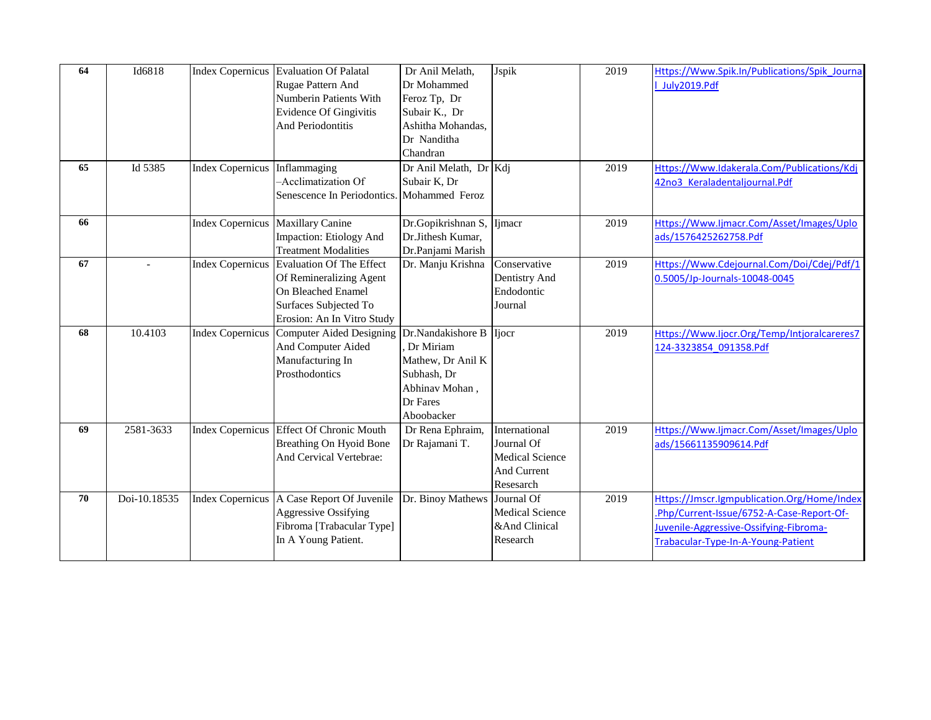| 64 | Id6818       |                               | Index Copernicus Evaluation Of Palatal<br>Rugae Pattern And<br>Numberin Patients With<br><b>Evidence Of Gingivitis</b><br>And Periodontitis              | Dr Anil Melath,<br>Dr Mohammed<br>Feroz Tp, Dr<br>Subair K., Dr<br>Ashitha Mohandas,<br>Dr Nanditha<br>Chandran | Jspik                                                                             | 2019 | Https://Www.Spik.In/Publications/Spik Journa<br>July2019.Pdf                                                                                                             |
|----|--------------|-------------------------------|----------------------------------------------------------------------------------------------------------------------------------------------------------|-----------------------------------------------------------------------------------------------------------------|-----------------------------------------------------------------------------------|------|--------------------------------------------------------------------------------------------------------------------------------------------------------------------------|
| 65 | Id 5385      | Index Copernicus Inflammaging | -Acclimatization Of<br>Senescence In Periodontics.                                                                                                       | Dr Anil Melath, Dr Kdj<br>Subair K, Dr<br>Mohammed Feroz                                                        |                                                                                   | 2019 | Https://Www.Idakerala.Com/Publications/Kdj<br>42no3 Keraladentaljournal.Pdf                                                                                              |
| 66 |              |                               | Index Copernicus Maxillary Canine<br>Impaction: Etiology And<br><b>Treatment Modalities</b>                                                              | Dr.Gopikrishnan S, Ijmacr<br>Dr.Jithesh Kumar,<br>Dr.Panjami Marish                                             |                                                                                   | 2019 | Https://Www.Ijmacr.Com/Asset/Images/Uplo<br>ads/1576425262758.Pdf                                                                                                        |
| 67 |              |                               | Index Copernicus Evaluation Of The Effect<br>Of Remineralizing Agent<br><b>On Bleached Enamel</b><br>Surfaces Subjected To<br>Erosion: An In Vitro Study | Dr. Manju Krishna                                                                                               | Conservative<br>Dentistry And<br>Endodontic<br>Journal                            | 2019 | Https://Www.Cdejournal.Com/Doi/Cdej/Pdf/1<br>0.5005/Jp-Journals-10048-0045                                                                                               |
| 68 | 10.4103      |                               | <b>Index Copernicus Computer Aided Designing</b><br>And Computer Aided<br>Manufacturing In<br>Prosthodontics                                             | Dr.Nandakishore B<br>Dr Miriam<br>Mathew, Dr Anil K<br>Subhash, Dr<br>Abhinav Mohan,<br>Dr Fares<br>Aboobacker  | <b>Ijocr</b>                                                                      | 2019 | Https://Www.ljocr.Org/Temp/Intjoralcareres7<br>124-3323854 091358.Pdf                                                                                                    |
| 69 | 2581-3633    |                               | Index Copernicus Effect Of Chronic Mouth<br><b>Breathing On Hyoid Bone</b><br>And Cervical Vertebrae:                                                    | Dr Rena Ephraim,<br>Dr Rajamani T.                                                                              | International<br>Journal Of<br><b>Medical Science</b><br>And Current<br>Resesarch | 2019 | Https://Www.Ijmacr.Com/Asset/Images/Uplo<br>ads/15661135909614.Pdf                                                                                                       |
| 70 | Doi-10.18535 |                               | Index Copernicus   A Case Report Of Juvenile<br><b>Aggressive Ossifying</b><br>Fibroma [Trabacular Type]<br>In A Young Patient.                          | Dr. Binoy Mathews                                                                                               | Journal Of<br><b>Medical Science</b><br>⩓ Clinical<br>Research                    | 2019 | Https://Jmscr.lgmpublication.Org/Home/Index<br>.Php/Current-Issue/6752-A-Case-Report-Of-<br>Juvenile-Aggressive-Ossifying-Fibroma-<br>Trabacular-Type-In-A-Young-Patient |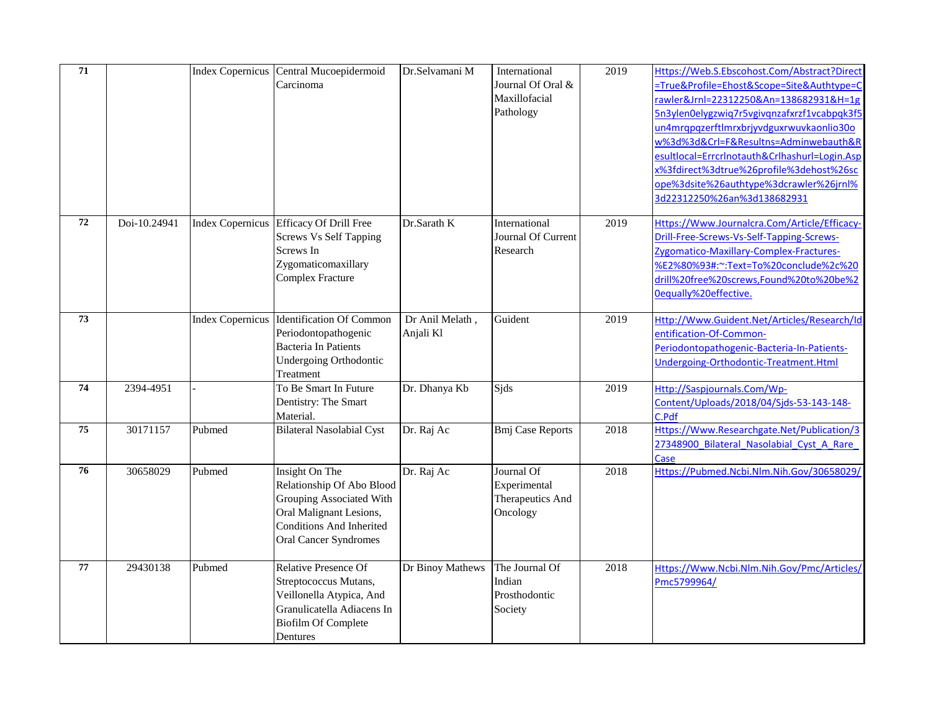| 71 |              |                         | Index Copernicus Central Mucoepidermoid<br>Carcinoma                                                                                                                  | Dr.Selvamani M               | International<br>Journal Of Oral &<br>Maxillofacial<br>Pathology | 2019 | Https://Web.S.Ebscohost.Com/Abstract?Direct<br>=True&Profile=Ehost&Scope=Site&Authtype=C<br>rawler&Jrnl=22312250&An=138682931&H=1g<br>5n3ylen0elygzwiq7r5vgivqnzafxrzf1vcabpqk3f5<br>un4mrqpqzerftlmrxbrjyvdguxrwuvkaonlio30o<br>w%3d%3d&Crl=F&Resultns=Adminwebauth&R<br>esultlocal=Errcrlnotauth&Crlhashurl=Login.Asp<br>x%3fdirect%3dtrue%26profile%3dehost%26sc<br>ope%3dsite%26authtype%3dcrawler%26jrnl%<br>3d22312250%26an%3d138682931 |
|----|--------------|-------------------------|-----------------------------------------------------------------------------------------------------------------------------------------------------------------------|------------------------------|------------------------------------------------------------------|------|-----------------------------------------------------------------------------------------------------------------------------------------------------------------------------------------------------------------------------------------------------------------------------------------------------------------------------------------------------------------------------------------------------------------------------------------------|
| 72 | Doi-10.24941 |                         | Index Copernicus Efficacy Of Drill Free<br><b>Screws Vs Self Tapping</b><br>Screws In<br>Zygomaticomaxillary<br><b>Complex Fracture</b>                               | Dr.Sarath K                  | International<br>Journal Of Current<br>Research                  | 2019 | Https://Www.Journalcra.Com/Article/Efficacy-<br>Drill-Free-Screws-Vs-Self-Tapping-Screws-<br>Zygomatico-Maxillary-Complex-Fractures-<br>%E2%80%93#:~:Text=To%20conclude%2c%20<br>drill%20free%20screws,Found%20to%20be%2<br>Oequally%20effective.                                                                                                                                                                                             |
| 73 |              | <b>Index Copernicus</b> | Identification Of Common<br>Periodontopathogenic<br><b>Bacteria In Patients</b><br><b>Undergoing Orthodontic</b><br>Treatment                                         | Dr Anil Melath,<br>Anjali Kl | Guident                                                          | 2019 | Http://Www.Guident.Net/Articles/Research/Id<br>entification-Of-Common-<br>Periodontopathogenic-Bacteria-In-Patients-<br>Undergoing-Orthodontic-Treatment.Html                                                                                                                                                                                                                                                                                 |
| 74 | 2394-4951    |                         | To Be Smart In Future<br>Dentistry: The Smart<br>Material.                                                                                                            | Dr. Dhanya Kb                | Sids                                                             | 2019 | Http://Saspjournals.Com/Wp-<br>Content/Uploads/2018/04/Sjds-53-143-148-<br>C.Pdf                                                                                                                                                                                                                                                                                                                                                              |
| 75 | 30171157     | Pubmed                  | <b>Bilateral Nasolabial Cyst</b>                                                                                                                                      | Dr. Raj Ac                   | <b>Bmj Case Reports</b>                                          | 2018 | Https://Www.Researchgate.Net/Publication/3<br>27348900 Bilateral Nasolabial Cyst A Rare<br>Case                                                                                                                                                                                                                                                                                                                                               |
| 76 | 30658029     | Pubmed                  | Insight On The<br>Relationship Of Abo Blood<br>Grouping Associated With<br>Oral Malignant Lesions,<br><b>Conditions And Inherited</b><br><b>Oral Cancer Syndromes</b> | Dr. Raj Ac                   | Journal Of<br>Experimental<br>Therapeutics And<br>Oncology       | 2018 | Https://Pubmed.Ncbi.Nlm.Nih.Gov/30658029/                                                                                                                                                                                                                                                                                                                                                                                                     |
| 77 | 29430138     | Pubmed                  | <b>Relative Presence Of</b><br>Streptococcus Mutans,<br>Veillonella Atypica, And<br>Granulicatella Adiacens In<br><b>Biofilm Of Complete</b><br>Dentures              | Dr Binoy Mathews             | The Journal Of<br>Indian<br>Prosthodontic<br>Society             | 2018 | Https://Www.Ncbi.Nlm.Nih.Gov/Pmc/Articles/<br>Pmc5799964/                                                                                                                                                                                                                                                                                                                                                                                     |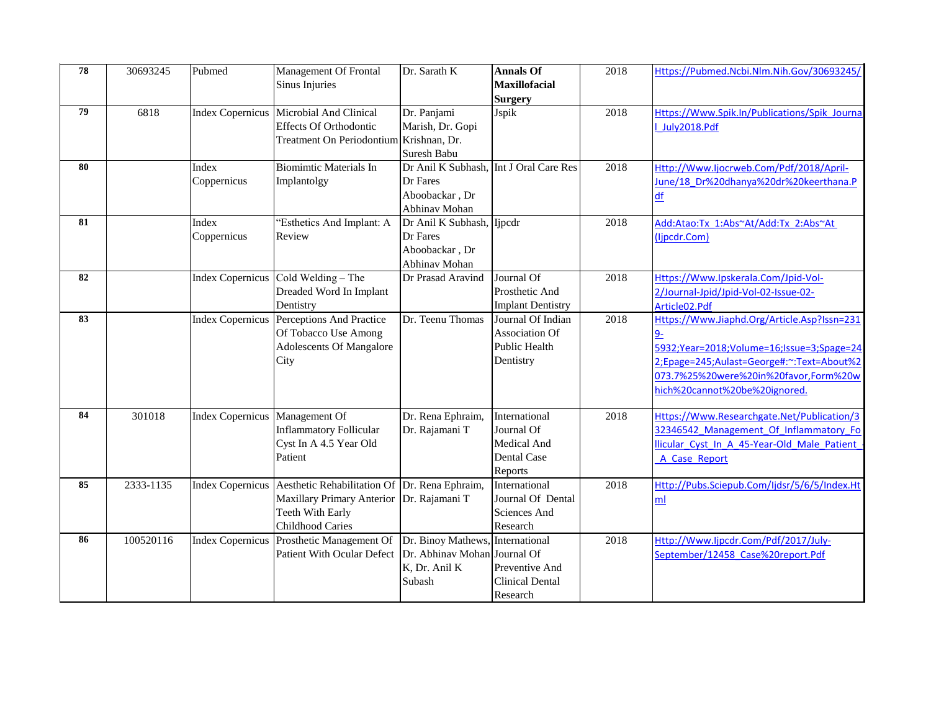| 78 | 30693245  | Pubmed                         | <b>Management Of Frontal</b>                                                                                                                              | Dr. Sarath K                                                                          | <b>Annals Of</b><br><b>Maxillofacial</b>                                 | 2018 | Https://Pubmed.Ncbi.Nlm.Nih.Gov/30693245/                                                                                                                                                                       |
|----|-----------|--------------------------------|-----------------------------------------------------------------------------------------------------------------------------------------------------------|---------------------------------------------------------------------------------------|--------------------------------------------------------------------------|------|-----------------------------------------------------------------------------------------------------------------------------------------------------------------------------------------------------------------|
|    |           |                                | Sinus Injuries                                                                                                                                            |                                                                                       | <b>Surgery</b>                                                           |      |                                                                                                                                                                                                                 |
| 79 | 6818      |                                | Index Copernicus   Microbial And Clinical<br><b>Effects Of Orthodontic</b><br><b>Treatment On Periodontium</b>                                            | Dr. Panjami<br>Marish, Dr. Gopi<br>Krishnan, Dr.<br>Suresh Babu                       | Jspik                                                                    | 2018 | Https://Www.Spik.In/Publications/Spik Journa<br>July2018.Pdf                                                                                                                                                    |
| 80 |           | Index<br>Coppernicus           | <b>Biomimtic Materials In</b><br>Implantolgy                                                                                                              | Dr Anil K Subhash, Int J Oral Care Res<br>Dr Fares<br>Aboobackar, Dr<br>Abhinav Mohan |                                                                          | 2018 | Http://Www.Ijocrweb.Com/Pdf/2018/April-<br>June/18 Dr%20dhanya%20dr%20keerthana.P<br>df                                                                                                                         |
| 81 |           | Index<br>Coppernicus           | 'Esthetics And Implant: A<br>Review                                                                                                                       | Dr Anil K Subhash, Ijpcdr<br>Dr Fares<br>Aboobackar, Dr<br>Abhinav Mohan              |                                                                          | 2018 | Add:Atao:Tx 1:Abs~At/Add:Tx 2:Abs~At<br>(lipcdr.Com)                                                                                                                                                            |
| 82 |           |                                | Index Copernicus Cold Welding - The<br>Dreaded Word In Implant<br>Dentistry                                                                               | Dr Prasad Aravind                                                                     | Journal Of<br>Prosthetic And<br><b>Implant Dentistry</b>                 | 2018 | Https://Www.Ipskerala.Com/Jpid-Vol-<br>2/Journal-Jpid/Jpid-Vol-02-Issue-02-<br>Article02.Pdf                                                                                                                    |
| 83 |           |                                | Index Copernicus Perceptions And Practice<br>Of Tobacco Use Among<br>Adolescents Of Mangalore<br>City                                                     | Dr. Teenu Thomas                                                                      | Journal Of Indian<br>Association Of<br><b>Public Health</b><br>Dentistry | 2018 | Https://Www.Jiaphd.Org/Article.Asp?Issn=231<br>5932;Year=2018;Volume=16;Issue=3;Spage=24<br>2;Epage=245;Aulast=George#:~:Text=About%2<br>073.7%25%20were%20in%20favor,Form%20w<br>hich%20cannot%20be%20ignored. |
| 84 | 301018    | Index Copernicus Management Of | <b>Inflammatory Follicular</b><br>Cyst In A 4.5 Year Old<br>Patient                                                                                       | Dr. Rena Ephraim,<br>Dr. Rajamani T                                                   | International<br>Journal Of<br>Medical And<br>Dental Case<br>Reports     | 2018 | Https://Www.Researchgate.Net/Publication/3<br>32346542 Management Of Inflammatory Fo<br>llicular Cyst In A 45-Year-Old Male Patient<br>A Case Report                                                            |
| 85 | 2333-1135 |                                | Index Copernicus Aesthetic Rehabilitation Of Dr. Rena Ephraim,<br><b>Maxillary Primary Anterior</b><br><b>Teeth With Early</b><br><b>Childhood Caries</b> | Dr. Rajamani T                                                                        | International<br>Journal Of Dental<br>Sciences And<br>Research           | 2018 | Http://Pubs.Sciepub.Com/Ijdsr/5/6/5/Index.Ht<br>m <sub>l</sub>                                                                                                                                                  |
| 86 | 100520116 |                                | Index Copernicus Prosthetic Management Of<br><b>Patient With Ocular Defect</b>                                                                            | Dr. Binoy Mathews, International<br>Dr. Abhinav Mohan<br>K, Dr. Anil K<br>Subash      | Journal Of<br>Preventive And<br><b>Clinical Dental</b><br>Research       | 2018 | Http://Www.Ijpcdr.Com/Pdf/2017/July-<br>September/12458 Case%20report.Pdf                                                                                                                                       |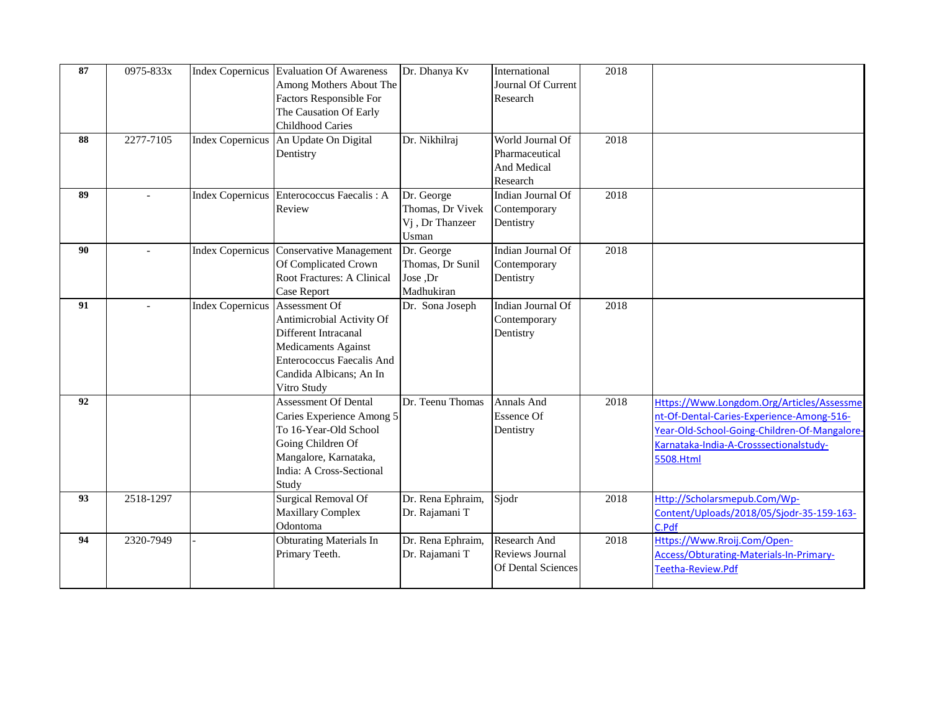| 87<br>88 | 0975-833x<br>2277-7105 |                                  | Index Copernicus Evaluation Of Awareness<br>Among Mothers About The<br><b>Factors Responsible For</b><br>The Causation Of Early<br><b>Childhood Caries</b><br>Index Copernicus An Update On Digital | Dr. Dhanya Kv<br>Dr. Nikhilraj                                          | International<br>Journal Of Current<br>Research<br>World Journal Of | 2018<br>2018 |                                                                                                                                                                                               |
|----------|------------------------|----------------------------------|-----------------------------------------------------------------------------------------------------------------------------------------------------------------------------------------------------|-------------------------------------------------------------------------|---------------------------------------------------------------------|--------------|-----------------------------------------------------------------------------------------------------------------------------------------------------------------------------------------------|
|          |                        |                                  | Dentistry                                                                                                                                                                                           |                                                                         | Pharmaceutical<br>And Medical<br>Research                           |              |                                                                                                                                                                                               |
| 89       |                        |                                  | Index Copernicus Enterococcus Faecalis: A<br>Review                                                                                                                                                 | Dr. George<br>Thomas, Dr Vivek<br>V <sub>j</sub> , Dr Thanzeer<br>Usman | Indian Journal Of<br>Contemporary<br>Dentistry                      | 2018         |                                                                                                                                                                                               |
| 90       | $\sim$                 |                                  | Index Copernicus Conservative Management<br>Of Complicated Crown<br>Root Fractures: A Clinical<br>Case Report                                                                                       | Dr. George<br>Thomas, Dr Sunil<br>Jose ,Dr<br>Madhukiran                | Indian Journal Of<br>Contemporary<br>Dentistry                      | 2018         |                                                                                                                                                                                               |
| 91       |                        | Index Copernicus   Assessment Of | Antimicrobial Activity Of<br>Different Intracanal<br><b>Medicaments Against</b><br><b>Enterococcus Faecalis And</b><br>Candida Albicans; An In<br>Vitro Study                                       | Dr. Sona Joseph                                                         | Indian Journal Of<br>Contemporary<br>Dentistry                      | 2018         |                                                                                                                                                                                               |
| 92       |                        |                                  | <b>Assessment Of Dental</b><br>Caries Experience Among 5<br>To 16-Year-Old School<br>Going Children Of<br>Mangalore, Karnataka,<br>India: A Cross-Sectional<br>Study                                | Dr. Teenu Thomas                                                        | Annals And<br><b>Essence Of</b><br>Dentistry                        | 2018         | Https://Www.Longdom.Org/Articles/Assessme<br>nt-Of-Dental-Caries-Experience-Among-516-<br>Year-Old-School-Going-Children-Of-Mangalore-<br>Karnataka-India-A-Crosssectionalstudy-<br>5508.Html |
| 93       | 2518-1297              |                                  | <b>Surgical Removal Of</b><br><b>Maxillary Complex</b><br>Odontoma                                                                                                                                  | Dr. Rena Ephraim,<br>Dr. Rajamani T                                     | Sjodr                                                               | 2018         | Http://Scholarsmepub.Com/Wp-<br>Content/Uploads/2018/05/Sjodr-35-159-163-<br>C.Pdf                                                                                                            |
| 94       | 2320-7949              |                                  | <b>Obturating Materials In</b><br>Primary Teeth.                                                                                                                                                    | Dr. Rena Ephraim,<br>Dr. Rajamani T                                     | Research And<br>Reviews Journal<br>Of Dental Sciences               | 2018         | Https://Www.Rroij.Com/Open-<br>Access/Obturating-Materials-In-Primary-<br>Teetha-Review.Pdf                                                                                                   |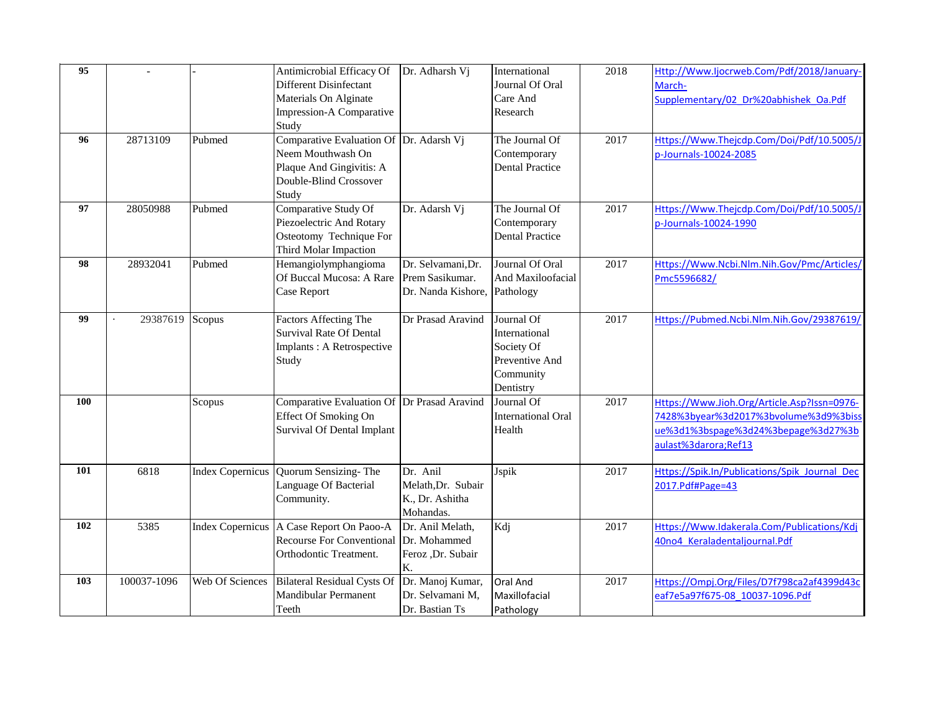| 95  |             |                         | Antimicrobial Efficacy Of                   | Dr. Adharsh Vj     | International             | 2018              | Http://Www.Ijocrweb.Com/Pdf/2018/January-     |
|-----|-------------|-------------------------|---------------------------------------------|--------------------|---------------------------|-------------------|-----------------------------------------------|
|     |             |                         | Different Disinfectant                      |                    | Journal Of Oral           |                   | March-                                        |
|     |             |                         | <b>Materials On Alginate</b>                |                    | Care And                  |                   | Supplementary/02 Dr%20abhishek Oa.Pdf         |
|     |             |                         | Impression-A Comparative                    |                    | Research                  |                   |                                               |
|     |             |                         | Study                                       |                    |                           |                   |                                               |
| 96  | 28713109    | Pubmed                  | Comparative Evaluation Of Dr. Adarsh Vj     |                    | The Journal Of            | 2017              | Https://Www.Thejcdp.Com/Doi/Pdf/10.5005/J     |
|     |             |                         | Neem Mouthwash On                           |                    | Contemporary              |                   | p-Journals-10024-2085                         |
|     |             |                         | Plaque And Gingivitis: A                    |                    | <b>Dental Practice</b>    |                   |                                               |
|     |             |                         | Double-Blind Crossover                      |                    |                           |                   |                                               |
|     |             |                         | Study                                       |                    |                           |                   |                                               |
| 97  | 28050988    | Pubmed                  | Comparative Study Of                        | Dr. Adarsh Vj      | The Journal Of            | 2017              | Https://Www.Thejcdp.Com/Doi/Pdf/10.5005/J     |
|     |             |                         | Piezoelectric And Rotary                    |                    | Contemporary              |                   | p-Journals-10024-1990                         |
|     |             |                         | Osteotomy Technique For                     |                    | <b>Dental Practice</b>    |                   |                                               |
|     |             |                         | Third Molar Impaction                       |                    |                           |                   |                                               |
| 98  | 28932041    | Pubmed                  | Hemangiolymphangioma                        | Dr. Selvamani, Dr. | Journal Of Oral           | 2017              | Https://Www.Ncbi.Nlm.Nih.Gov/Pmc/Articles/    |
|     |             |                         | Of Buccal Mucosa: A Rare                    | Prem Sasikumar.    | And Maxiloofacial         |                   | Pmc5596682/                                   |
|     |             |                         | Case Report                                 | Dr. Nanda Kishore, | Pathology                 |                   |                                               |
| 99  | 29387619    | Scopus                  | <b>Factors Affecting The</b>                | Dr Prasad Aravind  | Journal Of                | $\overline{2017}$ | Https://Pubmed.Ncbi.Nlm.Nih.Gov/29387619/     |
|     |             |                         | <b>Survival Rate Of Dental</b>              |                    | International             |                   |                                               |
|     |             |                         | Implants: A Retrospective                   |                    | Society Of                |                   |                                               |
|     |             |                         | Study                                       |                    | Preventive And            |                   |                                               |
|     |             |                         |                                             |                    | Community                 |                   |                                               |
|     |             |                         |                                             |                    | Dentistry                 |                   |                                               |
| 100 |             | Scopus                  | Comparative Evaluation Of Dr Prasad Aravind |                    | Journal Of                | 2017              | Https://Www.Jioh.Org/Article.Asp?Issn=0976-   |
|     |             |                         | <b>Effect Of Smoking On</b>                 |                    | <b>International Oral</b> |                   | 7428%3byear%3d2017%3bvolume%3d9%3biss         |
|     |             |                         | <b>Survival Of Dental Implant</b>           |                    | Health                    |                   | ue%3d1%3bspage%3d24%3bepage%3d27%3b           |
|     |             |                         |                                             |                    |                           |                   | aulast%3darora;Ref13                          |
| 101 | 6818        | <b>Index Copernicus</b> | Quorum Sensizing-The                        | Dr. Anil           | Jspik                     | 2017              | Https://Spik.In/Publications/Spik Journal Dec |
|     |             |                         | Language Of Bacterial                       | Melath, Dr. Subair |                           |                   | 2017.Pdf#Page=43                              |
|     |             |                         | Community.                                  | K., Dr. Ashitha    |                           |                   |                                               |
|     |             |                         |                                             | Mohandas.          |                           |                   |                                               |
| 102 | 5385        |                         | Index Copernicus   A Case Report On Paoo-A  | Dr. Anil Melath,   | Kdj                       | 2017              | Https://Www.Idakerala.Com/Publications/Kdj    |
|     |             |                         | <b>Recourse For Conventional</b>            | Dr. Mohammed       |                           |                   | 40no4 Keraladentaljournal.Pdf                 |
|     |             |                         | Orthodontic Treatment.                      | Feroz ,Dr. Subair  |                           |                   |                                               |
|     |             |                         |                                             | K.                 |                           |                   |                                               |
| 103 | 100037-1096 | Web Of Sciences         | <b>Bilateral Residual Cysts Of</b>          | Dr. Manoj Kumar,   | Oral And                  | 2017              | Https://Ompj.Org/Files/D7f798ca2af4399d43c    |
|     |             |                         | <b>Mandibular Permanent</b>                 | Dr. Selvamani M,   | Maxillofacial             |                   | eaf7e5a97f675-08 10037-1096.Pdf               |
|     |             |                         | Teeth                                       | Dr. Bastian Ts     | Pathology                 |                   |                                               |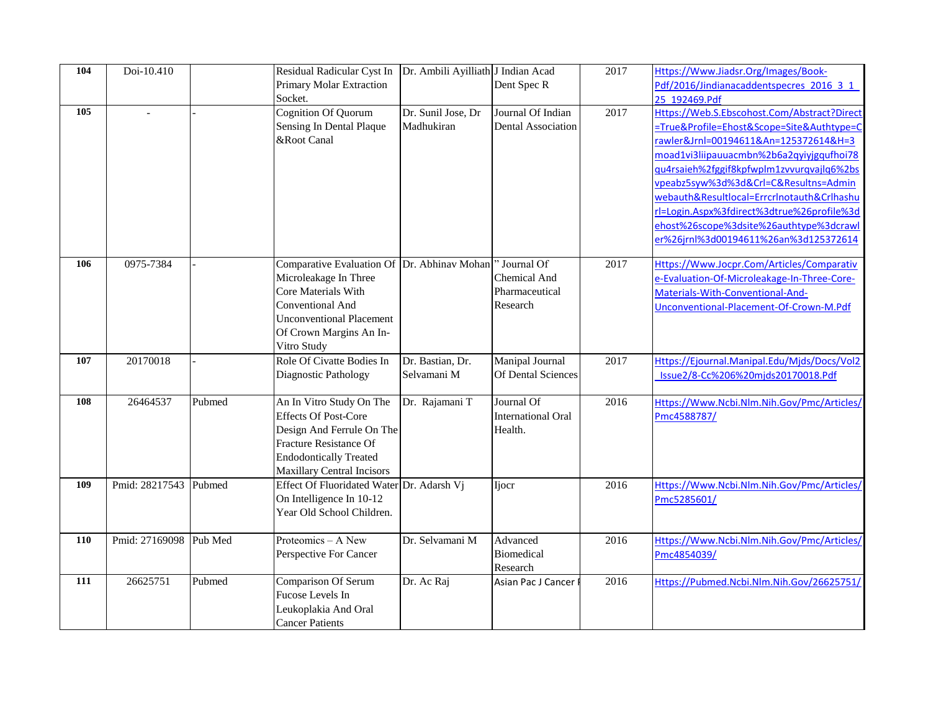| 104 | Doi-10.410               |        | Residual Radicular Cyst In                          | Dr. Ambili Ayilliath J Indian Acad |                           | 2017 | Https://Www.Jiadsr.Org/Images/Book-         |
|-----|--------------------------|--------|-----------------------------------------------------|------------------------------------|---------------------------|------|---------------------------------------------|
|     |                          |        | Primary Molar Extraction                            |                                    | Dent Spec R               |      | Pdf/2016/Jindianacaddentspecres 2016 3 1    |
|     |                          |        | Socket.                                             |                                    |                           |      | 25 192469.Pdf                               |
| 105 | $\overline{\phantom{a}}$ |        | <b>Cognition Of Quorum</b>                          | Dr. Sunil Jose, Dr                 | Journal Of Indian         | 2017 | Https://Web.S.Ebscohost.Com/Abstract?Direct |
|     |                          |        | Sensing In Dental Plaque                            | Madhukiran                         | <b>Dental Association</b> |      | =True&Profile=Ehost&Scope=Site&Authtype=C   |
|     |                          |        | &Root Canal                                         |                                    |                           |      | rawler&Jrnl=00194611&An=125372614&H=3       |
|     |                          |        |                                                     |                                    |                           |      | moad1vi3liipauuacmbn%2b6a2qyiyjgqufhoi78    |
|     |                          |        |                                                     |                                    |                           |      | gu4rsaieh%2fggif8kpfwplm1zvvurqvajlq6%2bs   |
|     |                          |        |                                                     |                                    |                           |      | vpeabz5syw%3d%3d&Crl=C&Resultns=Admin       |
|     |                          |        |                                                     |                                    |                           |      | webauth&Resultlocal=Errcrlnotauth&Crlhashu  |
|     |                          |        |                                                     |                                    |                           |      | rl=Login.Aspx%3fdirect%3dtrue%26profile%3d  |
|     |                          |        |                                                     |                                    |                           |      | ehost%26scope%3dsite%26authtype%3dcrawl     |
|     |                          |        |                                                     |                                    |                           |      | er%26jrnl%3d00194611%26an%3d125372614       |
|     |                          |        |                                                     |                                    |                           |      |                                             |
| 106 | 0975-7384                |        | Comparative Evaluation Of Dr. Abhinav Mohan         |                                    | ' Journal Of              | 2017 | Https://Www.Jocpr.Com/Articles/Comparativ   |
|     |                          |        | Microleakage In Three                               |                                    | Chemical And              |      | e-Evaluation-Of-Microleakage-In-Three-Core- |
|     |                          |        | Core Materials With                                 |                                    | Pharmaceutical            |      | Materials-With-Conventional-And-            |
|     |                          |        | Conventional And<br><b>Unconventional Placement</b> |                                    | Research                  |      | Unconventional-Placement-Of-Crown-M.Pdf     |
|     |                          |        | Of Crown Margins An In-                             |                                    |                           |      |                                             |
|     |                          |        | Vitro Study                                         |                                    |                           |      |                                             |
| 107 | 20170018                 |        | Role Of Civatte Bodies In                           | Dr. Bastian, Dr.                   | Manipal Journal           | 2017 | Https://Ejournal.Manipal.Edu/Mjds/Docs/Vol2 |
|     |                          |        | Diagnostic Pathology                                | Selvamani M                        | Of Dental Sciences        |      | Issue2/8-Cc%206%20mjds20170018.Pdf          |
|     |                          |        |                                                     |                                    |                           |      |                                             |
| 108 | 26464537                 | Pubmed | An In Vitro Study On The                            | Dr. Rajamani T                     | Journal Of                | 2016 | Https://Www.Ncbi.Nlm.Nih.Gov/Pmc/Articles/  |
|     |                          |        | <b>Effects Of Post-Core</b>                         |                                    | <b>International Oral</b> |      | Pmc4588787/                                 |
|     |                          |        | Design And Ferrule On The                           |                                    | Health.                   |      |                                             |
|     |                          |        | Fracture Resistance Of                              |                                    |                           |      |                                             |
|     |                          |        | <b>Endodontically Treated</b>                       |                                    |                           |      |                                             |
|     |                          |        | <b>Maxillary Central Incisors</b>                   |                                    |                           |      |                                             |
| 109 | Pmid: 28217543 Pubmed    |        | Effect Of Fluoridated Water Dr. Adarsh Vj           |                                    | <b>Ijocr</b>              | 2016 | Https://Www.Ncbi.Nlm.Nih.Gov/Pmc/Articles/  |
|     |                          |        | On Intelligence In 10-12                            |                                    |                           |      | Pmc5285601/                                 |
|     |                          |        | Year Old School Children.                           |                                    |                           |      |                                             |
|     |                          |        |                                                     |                                    |                           |      |                                             |
| 110 | Pmid: 27169098 Pub Med   |        | Proteomics - A New                                  | Dr. Selvamani M                    | Advanced                  | 2016 | Https://Www.Ncbi.Nlm.Nih.Gov/Pmc/Articles/  |
|     |                          |        | Perspective For Cancer                              |                                    | <b>Biomedical</b>         |      | Pmc4854039/                                 |
|     |                          |        |                                                     |                                    | Research                  |      |                                             |
| 111 | 26625751                 | Pubmed | Comparison Of Serum                                 | Dr. Ac Raj                         | Asian Pac J Cancer        | 2016 | Https://Pubmed.Ncbi.Nlm.Nih.Gov/26625751/   |
|     |                          |        | Fucose Levels In                                    |                                    |                           |      |                                             |
|     |                          |        | Leukoplakia And Oral                                |                                    |                           |      |                                             |
|     |                          |        | <b>Cancer Patients</b>                              |                                    |                           |      |                                             |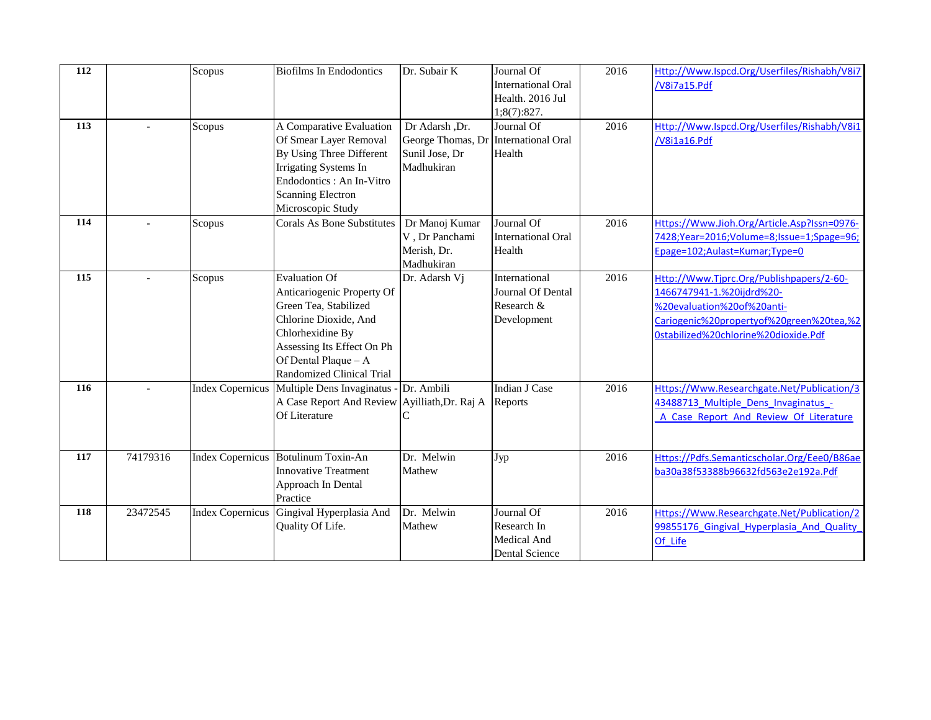| 112 |                          | Scopus                  | <b>Biofilms In Endodontics</b>                                                                                                                                                                                     | Dr. Subair K                                                        | Journal Of<br><b>International Oral</b>                         | 2016 | Http://Www.Ispcd.Org/Userfiles/Rishabh/V8i7<br>/V8i7a15.Pdf                                                                                                                             |
|-----|--------------------------|-------------------------|--------------------------------------------------------------------------------------------------------------------------------------------------------------------------------------------------------------------|---------------------------------------------------------------------|-----------------------------------------------------------------|------|-----------------------------------------------------------------------------------------------------------------------------------------------------------------------------------------|
|     |                          |                         |                                                                                                                                                                                                                    |                                                                     | Health. 2016 Jul<br>1;8(7):827.                                 |      |                                                                                                                                                                                         |
| 113 |                          | Scopus                  | A Comparative Evaluation<br>Of Smear Layer Removal<br>By Using Three Different<br>Irrigating Systems In<br>Endodontics : An In-Vitro<br><b>Scanning Electron</b><br>Microscopic Study                              | Dr Adarsh, Dr.<br>George Thomas, Dr<br>Sunil Jose, Dr<br>Madhukiran | Journal Of<br><b>International Oral</b><br>Health               | 2016 | Http://Www.Ispcd.Org/Userfiles/Rishabh/V8i1<br>/V8i1a16.Pdf                                                                                                                             |
| 114 | $\sim$                   | Scopus                  | <b>Corals As Bone Substitutes</b>                                                                                                                                                                                  | Dr Manoj Kumar<br>V, Dr Panchami<br>Merish, Dr.<br>Madhukiran       | Journal Of<br><b>International Oral</b><br>Health               | 2016 | Https://Www.Jioh.Org/Article.Asp?Issn=0976-<br>7428;Year=2016;Volume=8;Issue=1;Spage=96;<br>Epage=102;Aulast=Kumar;Type=0                                                               |
| 115 | $\overline{\phantom{a}}$ | Scopus                  | <b>Evaluation Of</b><br>Anticariogenic Property Of<br>Green Tea, Stabilized<br>Chlorine Dioxide, And<br>Chlorhexidine By<br>Assessing Its Effect On Ph<br>Of Dental Plaque - A<br><b>Randomized Clinical Trial</b> | Dr. Adarsh Vj                                                       | International<br>Journal Of Dental<br>Research &<br>Development | 2016 | Http://Www.Tjprc.Org/Publishpapers/2-60-<br>1466747941-1.%20ijdrd%20-<br>%20evaluation%20of%20anti-<br>Cariogenic%20propertyof%20green%20tea,%2<br>0stabilized%20chlorine%20dioxide.Pdf |
| 116 |                          |                         | Index Copernicus Multiple Dens Invaginatus - Dr. Ambili<br>A Case Report And Review Ayilliath, Dr. Raj A<br>Of Literature                                                                                          |                                                                     | Indian J Case<br>Reports                                        | 2016 | Https://Www.Researchgate.Net/Publication/3<br>43488713 Multiple Dens Invaginatus -<br>A Case Report And Review Of Literature                                                            |
| 117 | 74179316                 |                         | Index Copernicus Botulinum Toxin-An<br><b>Innovative Treatment</b><br>Approach In Dental<br>Practice                                                                                                               | Dr. Melwin<br>Mathew                                                | Jyp                                                             | 2016 | Https://Pdfs.Semanticscholar.Org/Eee0/B86ae<br>ba30a38f53388b96632fd563e2e192a.Pdf                                                                                                      |
| 118 | 23472545                 | <b>Index Copernicus</b> | Gingival Hyperplasia And<br>Quality Of Life.                                                                                                                                                                       | Dr. Melwin<br>Mathew                                                | Journal Of<br>Research In<br>Medical And<br>Dental Science      | 2016 | Https://Www.Researchgate.Net/Publication/2<br>99855176 Gingival Hyperplasia And Quality<br>Of Life                                                                                      |